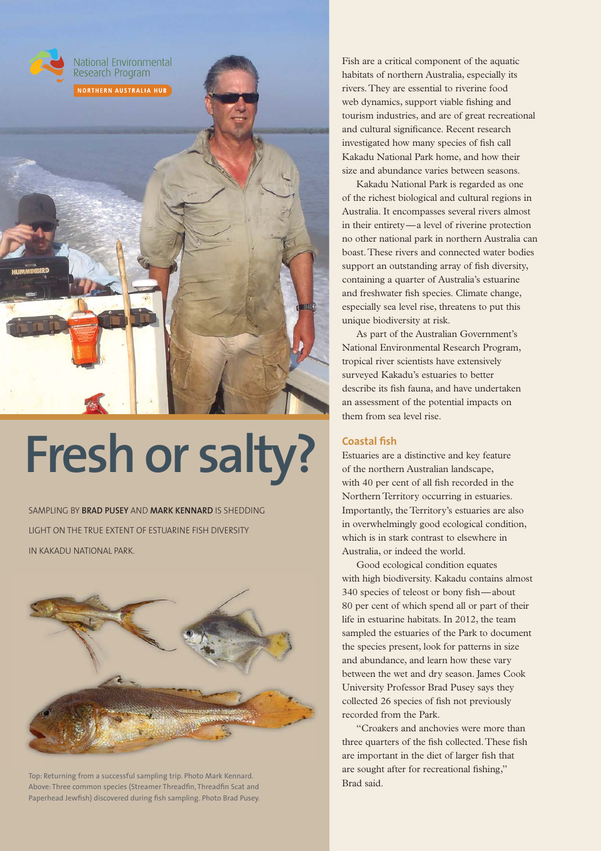

# **Fresh or salty?**

SAMPLING BY **BRAD PUSEY** AND **MARK KENNARD** IS SHEDDING LIGHT ON THE TRUE EXTENT OF ESTUARINE FISH DIVERSITY IN KAKADU NATIONAL PARK.



Top: Returning from a successful sampling trip. Photo Mark Kennard.<br>Above: Three common species (Streamer Threadfin, Threadfin Scat and **Bark Brand Scat and Brand Scat and Brand** Paperhead Jewfish) discovered during fish sampling. Photo Brad Pusey.

Fish are a critical component of the aquatic habitats of northern Australia, especially its rivers. They are essential to riverine food web dynamics, support viable fishing and tourism industries, and are of great recreational and cultural significance. Recent research investigated how many species of fish call Kakadu National Park home, and how their size and abundance varies between seasons.

Kakadu National Park is regarded as one of the richest biological and cultural regions in Australia. It encompasses several rivers almost in their entirety — a level of riverine protection no other national park in northern Australia can boast. These rivers and connected water bodies support an outstanding array of fish diversity, containing a quarter of Australia's estuarine and freshwater fish species. Climate change, especially sea level rise, threatens to put this unique biodiversity at risk.

As part of the Australian Government's National Environmental Research Program, tropical river scientists have extensively surveyed Kakadu's estuaries to better describe its fish fauna, and have undertaken an assessment of the potential impacts on them from sea level rise.

## **Coastal fish**

Estuaries are a distinctive and key feature of the northern Australian landscape, with 40 per cent of all fish recorded in the Northern Territory occurring in estuaries. Importantly, the Territory's estuaries are also in overwhelmingly good ecological condition, which is in stark contrast to elsewhere in Australia, or indeed the world.

Good ecological condition equates with high biodiversity. Kakadu contains almost 340 species of teleost or bony fish—about 80 per cent of which spend all or part of their life in estuarine habitats. In 2012, the team sampled the estuaries of the Park to document the species present, look for patterns in size and abundance, and learn how these vary between the wet and dry season. James Cook University Professor Brad Pusey says they collected 26 species of fish not previously recorded from the Park.

"Croakers and anchovies were more than three quarters of the fish collected. These fish are important in the diet of larger fish that are sought after for recreational fishing,"